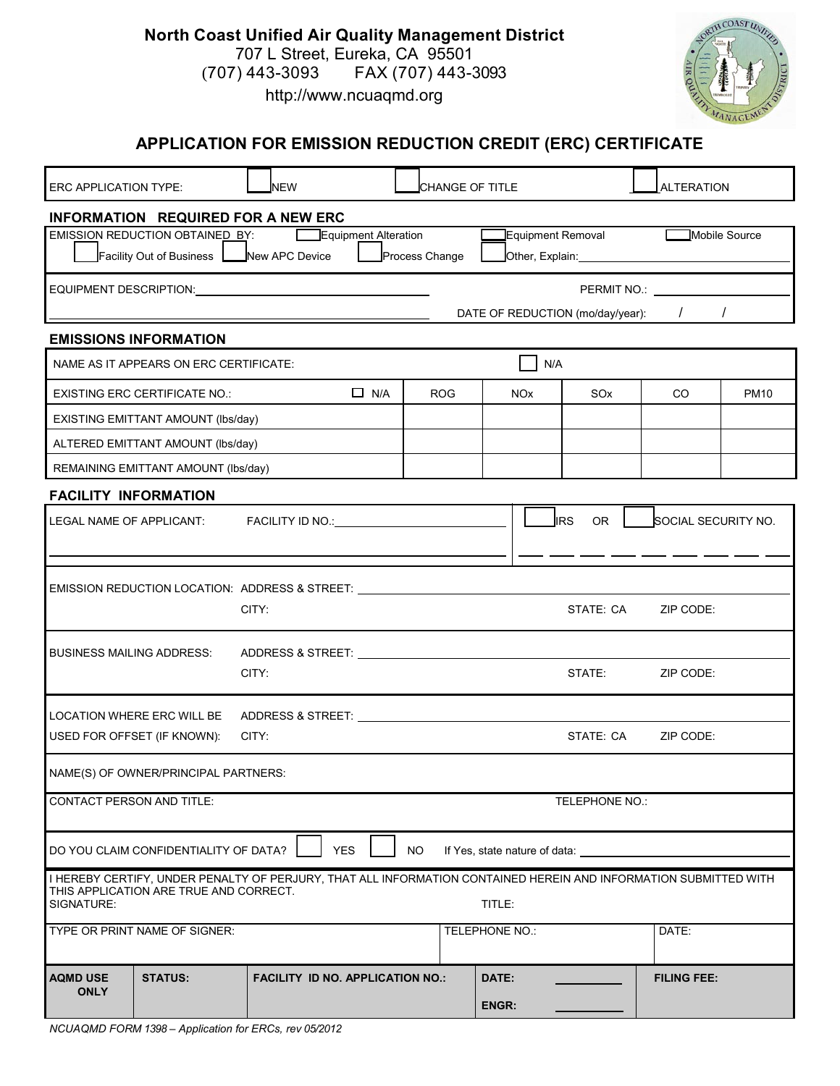| <b>North Coast Unified Air Quality Management District</b> |  |  |  |  |  |  |  |
|------------------------------------------------------------|--|--|--|--|--|--|--|
| 707 L Street, Eureka, CA 95501                             |  |  |  |  |  |  |  |
| $(707)$ 443-3093 FAX (707) 443-3093                        |  |  |  |  |  |  |  |
| http://www.ncuagmd.org                                     |  |  |  |  |  |  |  |



| APPLICATION FOR EMISSION REDUCTION CREDIT (ERC) CERTIFICATE                                                                                                                              |                                                                            |                                                                                                                                                                                                                                |                       |                               |                           |                                                                   |             |  |
|------------------------------------------------------------------------------------------------------------------------------------------------------------------------------------------|----------------------------------------------------------------------------|--------------------------------------------------------------------------------------------------------------------------------------------------------------------------------------------------------------------------------|-----------------------|-------------------------------|---------------------------|-------------------------------------------------------------------|-------------|--|
| <b>NEW</b><br><b>ERC APPLICATION TYPE:</b>                                                                                                                                               |                                                                            |                                                                                                                                                                                                                                | CHANGE OF TITLE       |                               |                           | <b>ALTERATION</b>                                                 |             |  |
| <b>INFORMATION REQUIRED FOR A NEW ERC</b><br>Equipment Removal<br>EMISSION REDUCTION OBTAINED BY:<br>Equipment Alteration<br>Facility Out of Business   New APC Device<br>Process Change |                                                                            |                                                                                                                                                                                                                                |                       |                               |                           | Mobile Source<br>Other, Explain: <b>contract and the explaint</b> |             |  |
| PERMIT NO.: <b>PERMIT NO.:</b><br>EQUIPMENT DESCRIPTION:<br>DATE OF REDUCTION (mo/day/year):<br>$\sqrt{2}$<br>$\prime$                                                                   |                                                                            |                                                                                                                                                                                                                                |                       |                               |                           |                                                                   |             |  |
|                                                                                                                                                                                          | <b>EMISSIONS INFORMATION</b>                                               |                                                                                                                                                                                                                                |                       |                               |                           |                                                                   |             |  |
| NAME AS IT APPEARS ON ERC CERTIFICATE:                                                                                                                                                   |                                                                            |                                                                                                                                                                                                                                |                       |                               | N/A                       |                                                                   |             |  |
|                                                                                                                                                                                          | <b>EXISTING ERC CERTIFICATE NO.:</b><br>EXISTING EMITTANT AMOUNT (lbs/day) | $\Box$ N/A                                                                                                                                                                                                                     | <b>ROG</b>            | <b>NO<sub>x</sub></b>         | SO <sub>x</sub>           | CO.                                                               | <b>PM10</b> |  |
| ALTERED EMITTANT AMOUNT (lbs/day)                                                                                                                                                        |                                                                            |                                                                                                                                                                                                                                |                       |                               |                           |                                                                   |             |  |
| REMAINING EMITTANT AMOUNT (Ibs/day)                                                                                                                                                      |                                                                            |                                                                                                                                                                                                                                |                       |                               |                           |                                                                   |             |  |
| <b>FACILITY INFORMATION</b>                                                                                                                                                              |                                                                            |                                                                                                                                                                                                                                |                       |                               |                           |                                                                   |             |  |
| LEGAL NAME OF APPLICANT:                                                                                                                                                                 |                                                                            | FACILITY ID NO.: VAN AND THE STATE AND THE STATE AND THE STATE AND THE STATE OF THE STATE OF THE STATE OF THE STATE OF THE STATE OF THE STATE OF THE STATE OF THE STATE OF THE STATE OF THE STATE OF THE STATE OF THE STATE OF |                       |                               | <b>J</b> IRS<br><b>OR</b> | SOCIAL SECURITY NO.                                               |             |  |
|                                                                                                                                                                                          |                                                                            | EMISSION REDUCTION LOCATION: ADDRESS & STREET: ___________<br>CITY:                                                                                                                                                            |                       |                               | STATE: CA                 | ZIP CODE:                                                         |             |  |
|                                                                                                                                                                                          | <b>BUSINESS MAILING ADDRESS:</b>                                           | ADDRESS & STREET:<br>CITY:                                                                                                                                                                                                     |                       |                               | STATE:                    | ZIP CODE:                                                         |             |  |
| LOCATION WHERE ERC WILL BE<br>USED FOR OFFSET (IF KNOWN):<br>CITY:<br>STATE: CA                                                                                                          |                                                                            |                                                                                                                                                                                                                                |                       |                               |                           | ZIP CODE:                                                         |             |  |
|                                                                                                                                                                                          | NAME(S) OF OWNER/PRINCIPAL PARTNERS:                                       |                                                                                                                                                                                                                                |                       |                               |                           |                                                                   |             |  |
| <b>CONTACT PERSON AND TITLE:</b><br>TELEPHONE NO.:                                                                                                                                       |                                                                            |                                                                                                                                                                                                                                |                       |                               |                           |                                                                   |             |  |
|                                                                                                                                                                                          | DO YOU CLAIM CONFIDENTIALITY OF DATA?                                      | <b>YES</b>                                                                                                                                                                                                                     | <b>NO</b>             | If Yes, state nature of data: |                           |                                                                   |             |  |
| SIGNATURE:                                                                                                                                                                               | THIS APPLICATION ARE TRUE AND CORRECT.                                     | I HEREBY CERTIFY, UNDER PENALTY OF PERJURY, THAT ALL INFORMATION CONTAINED HEREIN AND INFORMATION SUBMITTED WITH                                                                                                               |                       | TITLE:                        |                           |                                                                   |             |  |
| TYPE OR PRINT NAME OF SIGNER:                                                                                                                                                            |                                                                            |                                                                                                                                                                                                                                |                       | TELEPHONE NO.:                |                           | DATE:                                                             |             |  |
| <b>AQMD USE</b><br><b>ONLY</b>                                                                                                                                                           | <b>STATUS:</b>                                                             | <b>FACILITY ID NO. APPLICATION NO.:</b>                                                                                                                                                                                        | DATE:<br><b>ENGR:</b> |                               | <b>FILING FEE:</b>        |                                                                   |             |  |

## *NCUAQMD FORM 1398 – Application for ERCs, rev 05/2012*